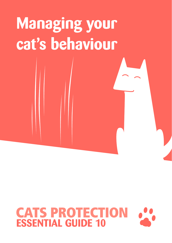## **Managing your cat's behaviour**

# **CATS PROTECTION**<br>**ESSENTIAL GUIDE 10**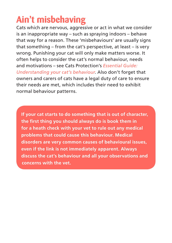### **Ain't misbehaving**

Cats which are nervous, aggressive or act in what we consider is an inappropriate way – such as spraying indoors – behave that way for a reason. These 'misbehaviours' are usually signs that something – from the cat's perspective, at least – is very wrong. Punishing your cat will only make matters worse. It often helps to consider the cat's normal behaviour, needs and motivations – see Cats Protection's *Essential Guide: Understanding your cat's behaviour*. Also don't forget that owners and carers of cats have a legal duty of care to ensure their needs are met, which includes their need to exhibit normal behaviour patterns.

**If your cat starts to do something that is out of character, the first thing you should always do is book them in for a heath check with your vet to rule out any medical problems that could cause this behaviour. Medical disorders are very common causes of behavioural issues, even if the link is not immediately apparent. Always discuss the cat's behaviour and all your observations and concerns with the vet.**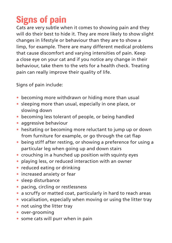### **Signs of pain**

Cats are very subtle when it comes to showing pain and they will do their best to hide it. They are more likely to show slight changes in lifestyle or behaviour than they are to show a limp, for example. There are many different medical problems that cause discomfort and varying intensities of pain. Keep a close eye on your cat and if you notice any change in their behaviour, take them to the vets for a health check. Treating pain can really improve their quality of life.

Signs of pain include:

- **•** becoming more withdrawn or hiding more than usual
- **•** sleeping more than usual, especially in one place, or slowing down
- **•** becoming less tolerant of people, or being handled
- **•** aggressive behaviour
- **•** hesitating or becoming more reluctant to jump up or down from furniture for example, or go through the cat flap
- **•** being stiff after resting, or showing a preference for using a particular leg when going up and down stairs
- **•** crouching in a hunched up position with squinty eyes
- **•** playing less, or reduced interaction with an owner
- **•** reduced eating or drinking
- **•** increased anxiety or fear
- **•** sleep disturbance
- **•** pacing, circling or restlessness
- **•** a scruffy or matted coat, particularly in hard to reach areas
- **•** vocalisation, especially when moving or using the litter tray
- **•** not using the litter tray
- **•** over-grooming
- **•** some cats will purr when in pain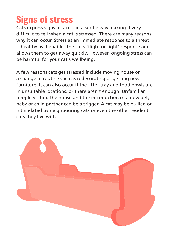### **Signs of stress**

Cats express signs of stress in a subtle way making it very difficult to tell when a cat is stressed. There are many reasons why it can occur. Stress as an immediate response to a threat is healthy as it enables the cat's 'flight or fight' response and allows them to get away quickly. However, ongoing stress can be harmful for your cat's wellbeing.

A few reasons cats get stressed include moving house or a change in routine such as redecorating or getting new furniture. It can also occur if the litter tray and food bowls are in unsuitable locations, or there aren't enough. Unfamiliar people visiting the house and the introduction of a new pet, baby or child partner can be a trigger. A cat may be bullied or intimidated by neighbouring cats or even the other resident cats they live with.

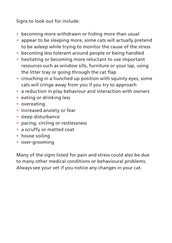Signs to look out for include:

- **•** becoming more withdrawn or hiding more than usual
- **•** appear to be sleeping more, some cats will actually pretend to be asleep while trying to monitor the cause of the stress
- **•** becoming less tolerant around people or being handled
- **•** hesitating or becoming more reluctant to use important resources such as window sills, furniture or your lap, using the litter tray or going through the cat flap
- **•** crouching in a hunched up position with squinty eyes, some cats will cringe away from you if you try to approach
- **•** a reduction in play behaviour and interaction with owners
- **•** eating or drinking less
- **•** overeating
- **•** increased anxiety or fear
- **•** sleep disturbance
- **•** pacing, circling or restlessness
- **•** a scruffy or matted coat
- **•** house soiling
- **•** over-grooming

Many of the signs listed for pain and stress could also be due to many other medical conditions or behavioural problems. Always see your vet if you notice any changes in your cat.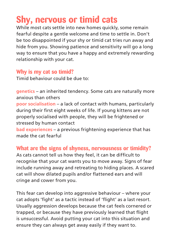### **Shy, nervous or timid cats**

While most cats settle into new homes quickly, some remain fearful despite a gentle welcome and time to settle in. Don't be too disappointed if your shy or timid cat tries run away and hide from you. Showing patience and sensitivity will go a long way to ensure that you have a happy and extremely rewarding relationship with your cat.

#### **Why is my cat so timid?**

Timid behaviour could be due to:

**genetics** – an inherited tendency. Some cats are naturally more anxious than others

**poor socialisation** – a lack of contact with humans, particularly during their first eight weeks of life. If young kittens are not properly socialised with people, they will be frightened or stressed by human contact

**bad experiences** – a previous frightening experience that has made the cat fearful

#### **What are the signs of shyness, nervousness or timidity?**

As cats cannot tell us how they feel, it can be difficult to recognise that your cat wants you to move away. Signs of fear include running away and retreating to hiding places. A scared cat will show dilated pupils and/or flattened ears and will cringe and cower from you.

This fear can develop into aggressive behaviour – where your cat adopts 'fight' as a tactic instead of 'flight' as a last resort. Usually aggression develops because the cat feels cornered or trapped, or because they have previously learned that flight is unsuccessful. Avoid putting your cat into this situation and ensure they can always get away easily if they want to.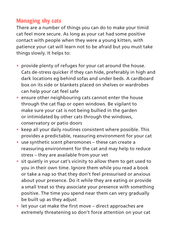#### **Managing shy cats**

There are a number of things you can do to make your timid cat feel more secure. As long as your cat had some positive contact with people when they were a young kitten, with patience your cat will learn not to be afraid but you must take things slowly. It helps to:

- **•** provide plenty of refuges for your cat around the house. Cats de-stress quicker if they can hide, preferably in high and dark locations eg behind sofas and under beds. A cardboard box on its side or blankets placed on shelves or wardrobes can help your cat feel safe
- **•** ensure other neighbouring cats cannot enter the house through the cat flap or open windows. Be vigilant to make sure your cat is not being bullied in the garden or intimidated by other cats through the windows, conservatory or patio doors
- **•** keep all your daily routines consistent where possible. This provides a predictable, reassuring environment for your cat
- **•** use synthetic scent pheromones these can create a reassuring environment for the cat and may help to reduce stress – they are available from your vet
- **•** sit quietly in your cat's vicinity to allow them to get used to you in their own time. Ignore them while you read a book or take a nap so that they don't feel pressurised or anxious about your presence. Do it while they are eating or provide a small treat so they associate your presence with something positive. The time you spend near them can very gradually be built up as they adjust
- **•** let your cat make the first move direct approaches are extremely threatening so don't force attention on your cat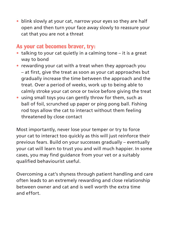**•** blink slowly at your cat, narrow your eyes so they are half open and then turn your face away slowly to reassure your cat that you are not a threat

#### **As your cat becomes braver, try:**

- **•** talking to your cat quietly in a calming tone it is a great way to bond
- **•** rewarding your cat with a treat when they approach you – at first, give the treat as soon as your cat approaches but gradually increase the time between the approach and the treat. Over a period of weeks, work up to being able to calmly stroke your cat once or twice before giving the treat
- **•** using small toys you can gently throw for them, such as ball of foil, scrunched up paper or ping pong ball. Fishing rod toys allow the cat to interact without them feeling threatened by close contact

Most importantly, never lose your temper or try to force your cat to interact too quickly as this will just reinforce their previous fears. Build on your successes gradually – eventually your cat will learn to trust you and will much happier. In some cases, you may find guidance from your vet or a suitably qualified behaviourist useful.

Overcoming a cat's shyness through patient handling and care often leads to an extremely rewarding and close relationship between owner and cat and is well worth the extra time and effort.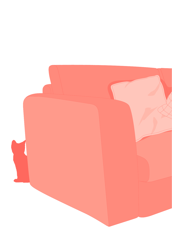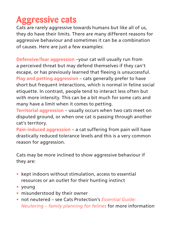### **Aggressive cats**

Cats are rarely aggressive towards humans but like all of us, they do have their limits. There are many different reasons for aggressive behaviour and sometimes it can be a combination of causes. Here are just a few examples:

**Defensive/fear aggression** –your cat will usually run from a perceived threat but may defend themselves if they can't escape, or has previously learned that fleeing is unsuccessful. **Play and petting aggression** – cats generally prefer to have short but frequent interactions, which is normal in feline social etiquette. In contrast, people tend to interact less often but with more intensity. This can be a bit much for some cats and many have a limit when it comes to petting.

**Territorial aggression** – usually occurs when two cats meet on disputed ground, or when one cat is passing through another cat's territory.

**Pain-induced aggression** – a cat suffering from pain will have drastically reduced tolerance levels and this is a very common reason for aggression.

Cats may be more inclined to show aggressive behaviour if they are:

- **•** kept indoors without stimulation, access to essential resources or an outlet for their hunting instinct
- **•** young
- **•** misunderstood by their owner
- **•** not neutered see Cats Protection's *Essential Guide: Neutering – family planning for felines* for more information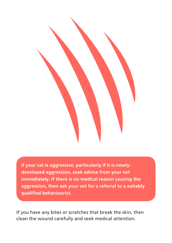

**If your cat is aggressive, particularly if it is newlydeveloped aggression, seek advice from your vet immediately. If there is no medical reason causing the aggression, then ask your vet for a referral to a suitably qualified behaviourist.**

If you have any bites or scratches that break the skin, then clean the wound carefully and seek medical attention.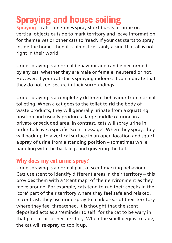### **Spraying and house soiling**

**Spraying** – cats sometimes spray short bursts of urine on vertical objects outside to mark territory and leave information for themselves or other cats to 'read'. If your cat starts to spray inside the home, then it is almost certainly a sign that all is not right in their world.

Urine spraying is a normal behaviour and can be performed by any cat, whether they are male or female, neutered or not. However, if your cat starts spraying indoors, it can indicate that they do not feel secure in their surroundings.

Urine spraying is a completely different behaviour from normal toileting. When a cat goes to the toilet to rid the body of waste products, they will generally urinate from a squatting position and usually produce a large puddle of urine in a private or secluded area. In contrast, cats will spray urine in order to leave a specific 'scent message'. When they spray, they will back up to a vertical surface in an open location and squirt a spray of urine from a standing position – sometimes while paddling with the back legs and quivering the tail.

#### **Why does my cat urine spray?**

Urine spraying is a normal part of scent marking behaviour. Cats use scent to identify different areas in their territory – this provides them with a 'scent map' of their environment as they move around. For example, cats tend to rub their cheeks in the 'core' part of their territory where they feel safe and relaxed. In contrast, they use urine spray to mark areas of their territory where they feel threatened. It is thought that the scent deposited acts as a 'reminder to self' for the cat to be wary in that part of his or her territory. When the smell begins to fade, the cat will re-spray to top it up.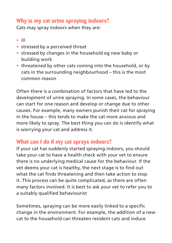#### **Why is my cat urine spraying indoors?**

Cats may spray indoors when they are:

- **•** ill
- **•** stressed by a perceived threat
- **•** stressed by changes in the household eg new baby or building work
- **•** threatened by other cats coming into the household, or by cats in the surrounding neighbourhood – this is the most common reason

Often there is a combination of factors that have led to the development of urine spraying. In some cases, the behaviour can start for one reason and develop or change due to other causes. For example, many owners punish their cat for spraying in the house – this tends to make the cat more anxious and more likely to spray. The best thing you can do is identify what is worrying your cat and address it.

#### **What can I do if my cat sprays indoors?**

If your cat has suddenly started spraying indoors, you should take your cat to have a health check with your vet to ensure there is no underlying medical cause for the behaviour. If the vet deems your cat is healthy, the next stage is to find out what the cat finds threatening and then take action to stop it. This process can be quite complicated, as there are often many factors involved. It is best to ask your vet to refer you to a suitably qualified behaviourist

Sometimes, spraying can be more easily linked to a specific change in the environment. For example, the addition of a new cat to the household can threaten resident cats and induce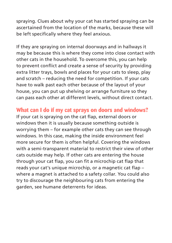spraying. Clues about why your cat has started spraying can be ascertained from the location of the marks, because these will be left specifically where they feel anxious.

If they are spraying on internal doorways and in hallways it may be because this is where they come into close contact with other cats in the household. To overcome this, you can help to prevent conflict and create a sense of security by providing extra litter trays, bowls and places for your cats to sleep, play and scratch – reducing the need for competition. If your cats have to walk past each other because of the layout of your house, you can put up shelving or arrange furniture so they can pass each other at different levels, without direct contact.

#### **What can I do if my cat sprays on doors and windows?**

If your cat is spraying on the cat flap, external doors or windows then it is usually because something outside is worrying them – for example other cats they can see through windows. In this case, making the inside environment feel more secure for them is often helpful. Covering the windows with a semi-transparent material to restrict their view of other cats outside may help. If other cats are entering the house through your cat flap, you can fit a microchip cat flap that reads your cat's unique microchip, or a magnetic cat flap – where a magnet is attached to a safety collar. You could also try to discourage the neighbouring cats from entering the garden, see humane deterrents for ideas.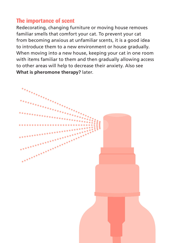#### **The importance of scent**

Redecorating, changing furniture or moving house removes familiar smells that comfort your cat. To prevent your cat from becoming anxious at unfamiliar scents, it is a good idea to introduce them to a new environment or house gradually. When moving into a new house, keeping your cat in one room with items familiar to them and then gradually allowing access to other areas will help to decrease their anxiety. Also see **What is pheromone therapy?** later.

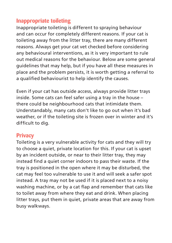#### **Inappropriate toileting**

Inappropriate toileting is different to spraying behaviour and can occur for completely different reasons. If your cat is toileting away from the litter tray, there are many different reasons. Always get your cat vet checked before considering any behavioural interventions, as it is very important to rule out medical reasons for the behaviour. Below are some general guidelines that may help, but if you have all these measures in place and the problem persists, it is worth getting a referral to a qualified behaviourist to help identify the causes.

Even if your cat has outside access, always provide litter trays inside. Some cats can feel safer using a tray in the house – there could be neighbourhood cats that intimidate them. Understandably, many cats don't like to go out when it's bad weather, or if the toileting site is frozen over in winter and it's difficult to dig.

#### **Privacy**

Toileting is a very vulnerable activity for cats and they will try to choose a quiet, private location for this. If your cat is upset by an incident outside, or near to their litter tray, they may instead find a quiet corner indoors to pass their waste. If the tray is positioned in the open where it may be disturbed, the cat may feel too vulnerable to use it and will seek a safer spot instead. A tray may not be used if it is placed next to a noisy washing machine, or by a cat flap and remember that cats like to toilet away from where they eat and drink. When placing litter trays, put them in quiet, private areas that are away from busy walkways.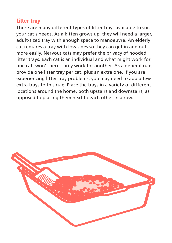#### **Litter tray**

There are many different types of litter trays available to suit your cat's needs. As a kitten grows up, they will need a larger, adult-sized tray with enough space to manoeuvre. An elderly cat requires a tray with low sides so they can get in and out more easily. Nervous cats may prefer the privacy of hooded litter trays. Each cat is an individual and what might work for one cat, won't necessarily work for another. As a general rule, provide one litter tray per cat, plus an extra one. If you are experiencing litter tray problems, you may need to add a few extra trays to this rule. Place the trays in a variety of different locations around the home, both upstairs and downstairs, as opposed to placing them next to each other in a row.

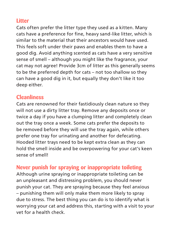#### **Litter**

Cats often prefer the litter type they used as a kitten. Many cats have a preference for fine, heavy sand-like litter, which is similar to the material that their ancestors would have used. This feels soft under their paws and enables them to have a good dig. Avoid anything scented as cats have a very sensitive sense of smell – although you might like the fragrance, your cat may not agree! Provide 3cm of litter as this generally seems to be the preferred depth for cats – not too shallow so they can have a good dig in it, but equally they don't like it too deep either.

#### **Cleanliness**

Cats are renowned for their fastidiously clean nature so they will not use a dirty litter tray. Remove any deposits once or twice a day if you have a clumping litter and completely clean out the tray once a week. Some cats prefer the deposits to be removed before they will use the tray again, while others prefer one tray for urinating and another for defecating. Hooded litter trays need to be kept extra clean as they can hold the smell inside and be overpowering for your cat's keen sense of smell!

#### **Never punish for spraying or inappropriate toileting**

Although urine spraying or inappropriate toileting can be an unpleasant and distressing problem, you should never punish your cat. They are spraying because they feel anxious – punishing them will only make them more likely to spray due to stress. The best thing you can do is to identify what is worrying your cat and address this, starting with a visit to your vet for a health check.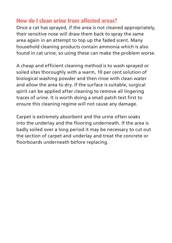#### **How do I clean urine from affected areas?**

Once a cat has sprayed, if the area is not cleaned appropriately, their sensitive nose will draw them back to spray the same area again in an attempt to top up the faded scent. Many household cleaning products contain ammonia which is also found in cat urine, so using these can make the problem worse.

A cheap and efficient cleaning method is to wash sprayed or soiled sites thoroughly with a warm, 10 per cent solution of biological washing powder and then rinse with clean water and allow the area to dry. If the surface is suitable, surgical spirit can be applied after cleaning to remove all lingering traces of urine. It is worth doing a small patch test first to ensure this cleaning regime will not cause any damage.

Carpet is extremely absorbent and the urine often soaks into the underlay and the flooring underneath. If the area is badly soiled over a long period it may be necessary to cut out the section of carpet and underlay and treat the concrete or floorboards underneath before replacing.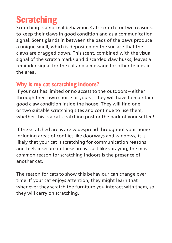### **Scratching**

Scratching is a normal behaviour. Cats scratch for two reasons; to keep their claws in good condition and as a communication signal. Scent glands in between the pads of the paws produce a unique smell, which is deposited on the surface that the claws are dragged down. This scent, combined with the visual signal of the scratch marks and discarded claw husks, leaves a reminder signal for the cat and a message for other felines in the area.

#### **Why is my cat scratching indoors?**

If your cat has limited or no access to the outdoors – either through their own choice or yours – they will have to maintain good claw condition inside the house. They will find one or two suitable scratching sites and continue to use them, whether this is a cat scratching post or the back of your settee!

If the scratched areas are widespread throughout your home including areas of conflict like doorways and windows, it is likely that your cat is scratching for communication reasons and feels insecure in these areas. Just like spraying, the most common reason for scratching indoors is the presence of another cat.

The reason for cats to show this behaviour can change over time. If your cat enjoys attention, they might learn that whenever they scratch the furniture you interact with them, so they will carry on scratching.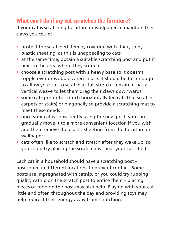#### **What can I do if my cat scratches the furniture?**

If your cat is scratching furniture or wallpaper to maintain their claws you could:

- **•** protect the scratched item by covering with thick, shiny plastic sheeting as this is unappealing to cats
- **•** at the same time, obtain a suitable scratching post and put it next to the area where they scratch
- **•** choose a scratching post with a heavy base so it doesn't topple over or wobble when in use. It should be tall enough to allow your cat to scratch at full stretch – ensure it has a vertical weave to let them drag their claws downwards
- **•** some cats prefer to scratch horizontally (eg cats that scratch carpets or stairs) or diagonally so provide a scratching mat to meet these needs
- **•** once your cat is consistently using the new post, you can gradually move it to a more convenient location if you wish and then remove the plastic sheeting from the furniture or wallpaper
- **•** cats often like to scratch and stretch after they wake up, so you could try placing the scratch post near your cat's bed

Each cat in a household should have a scratching post – positioned in different locations to prevent conflict. Some posts are impregnated with catnip, or you could try rubbing quality catnip on the scratch post to entice them – placing pieces of food on the post may also help. Playing with your cat little and often throughout the day and providing toys may help redirect their energy away from scratching.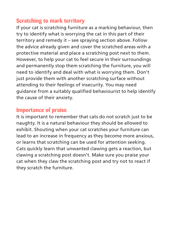#### **Scratching to mark territory**

If your cat is scratching furniture as a marking behaviour, then try to identify what is worrying the cat in this part of their territory and remedy it – see spraying section above. Follow the advice already given and cover the scratched areas with a protective material and place a scratching post next to them. However, to help your cat to feel secure in their surroundings and permanently stop them scratching the furniture, you will need to identify and deal with what is worrying them. Don't just provide them with another scratching surface without attending to their feelings of insecurity. You may need guidance from a suitably qualified behaviourist to help identify the cause of their anxiety.

#### **Importance of praise**

It is important to remember that cats do not scratch just to be naughty. It is a natural behaviour they should be allowed to exhibit. Shouting when your cat scratches your furniture can lead to an increase in frequency as they become more anxious, or learns that scratching can be used for attention seeking. Cats quickly learn that unwanted clawing gets a reaction, but clawing a scratching post doesn't. Make sure you praise your cat when they claw the scratching post and try not to react if they scratch the furniture.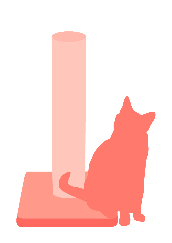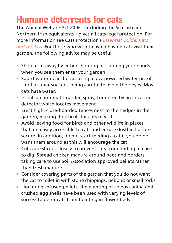### **Humane deterrents for cats**

The Animal Welfare Act 2006 – including the Scottish and Northern Irish equivalents – gives all cats legal protection. For more information see Cats Protection's *Essential Guide: Cats and the law*. For those who wish to avoid having cats visit their garden, the following advice may be useful.

- **•** Shoo a cat away by either shouting or clapping your hands when you see them enter your garden
- **•** Squirt water near the cat using a low-powered water pistol – not a super-soaker – being careful to avoid their eyes. Most cats hate water.
- **•** Install an automatic garden spray, triggered by an infra-red detector which locates movement
- **•** Erect high, close-boarded fences next to the hedges in the garden, making it difficult for cats to visit
- **•** Avoid leaving food for birds and other wildlife in places that are easily accessible to cats and ensure dustbin lids are secure. In addition, do not start feeding a cat if you do not want them around as this will encourage the cat
- **•** Cultivate shrubs closely to prevent cats from finding a place to dig. Spread chicken manure around beds and borders, taking care to use Soil Association approved pellets rather than fresh manure
- **•** Consider covering parts of the garden that you do not want the cat to toilet in with stone chippings, pebbles or small rocks
- **•** Lion dung-infused pellets, the planting of coleus canina and crushed egg shells have been used with varying levels of success to deter cats from toileting in flower beds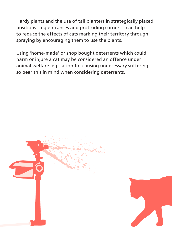Hardy plants and the use of tall planters in strategically placed positions – eg entrances and protruding corners – can help to reduce the effects of cats marking their territory through spraying by encouraging them to use the plants.

Using 'home-made' or shop bought deterrents which could harm or injure a cat may be considered an offence under animal welfare legislation for causing unnecessary suffering, so bear this in mind when considering deterrents.

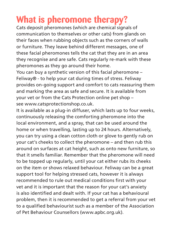### **What is pheromone therapy?**

Cats deposit pheromones (which are chemical signals of communication to themselves or other cats) from glands on their faces when rubbing objects such as the corners of walls or furniture. They leave behind different messages, one of these facial pheromones tells the cat that they are in an area they recognise and are safe. Cats regularly re-mark with these pheromones as they go around their home.

You can buy a synthetic version of this facial pheromone – Feliway® - to help your cat during times of stress. Feliway provides on-going support and comfort to cats reassuring them and marking the area as safe and secure. It is available from your vet or from the Cats Protection online pet shop – see www.catsprotectionshop.co.uk.

It is available as a plug-in diffuser, which lasts up to four weeks, continuously releasing the comforting pheromone into the local environment, and a spray, that can be used around the home or when travelling, lasting up to 24 hours. Alternatively, you can try using a clean cotton cloth or glove to gently rub on your cat's cheeks to collect the pheromone – and then rub this around on surfaces at cat height, such as onto new furniture, so that it smells familiar. Remember that the pheromone will need to be topped up regularly, until your cat either rubs its cheeks on the item or shows relaxed behaviour. Feliway can be a great support tool for helping stressed cats, however it is always recommended to rule out medical conditions first with your vet and it is important that the reason for your cat's anxiety is also identified and dealt with. If your cat has a behavioural problem, then it is recommended to get a referral from your vet to a qualified behaviourist such as a member of the Association of Pet Behaviour Counsellors (www.apbc.org.uk).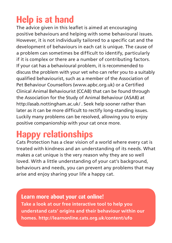### **Help is at hand**

The advice given in this leaflet is aimed at encouraging positive behaviours and helping with some behavioural issues. However, it is not individually tailored to a specific cat and the development of behaviours in each cat is unique. The cause of a problem can sometimes be difficult to identify, particularly if it is complex or there are a number of contributing factors. If your cat has a behavioural problem, it is recommended to discuss the problem with your vet who can refer you to a suitably qualified behaviourist, such as a member of the Association of Pet Behaviour Counsellors (www.apbc.org.uk) or a Certified Clinical Animal Behaviourist (CCAB) that can be found through the Association for the Study of Animal Behaviour (ASAB) at http://asab.nottingham.ac.uk/ . Seek help sooner rather than later as it can be more difficult to rectify long-standing issues. Luckily many problems can be resolved, allowing you to enjoy positive companionship with your cat once more.

### **Happy relationships**

Cats Protection has a clear vision of a world where every cat is treated with kindness and an understanding of its needs. What makes a cat unique is the very reason why they are so well loved. With a little understanding of your cat's background, behaviours and needs, you can prevent any problems that may arise and enjoy sharing your life a happy cat.

#### **Learn more about your cat online!**

**Take a look at our free interactive tool to help you understand cats' origins and their behaviour within our homes. http://learnonline.cats.org.uk/content/ufo**